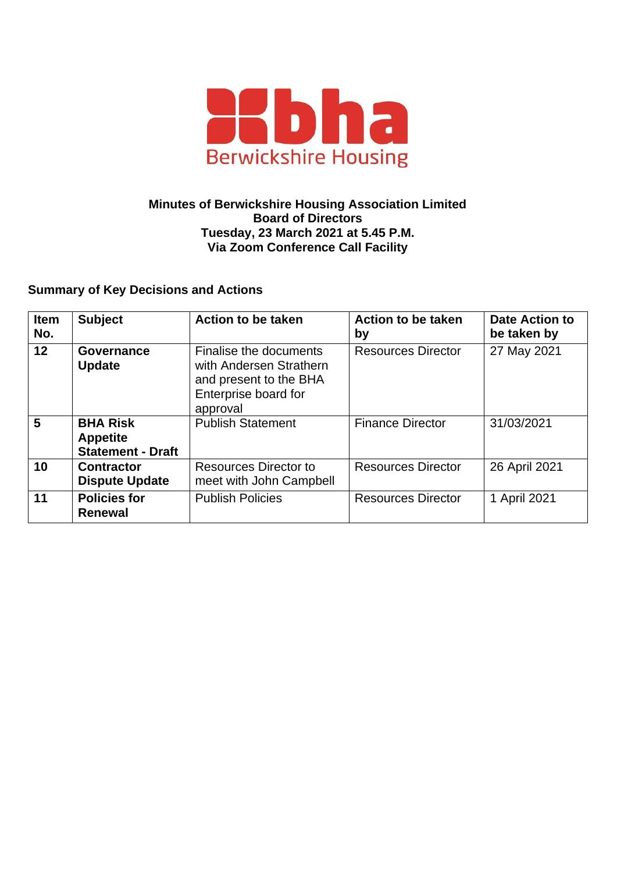

## **Minutes of Berwickshire Housing Association Limited Board of Directors Tuesday, 23 March 2021 at 5.45 P.M. Via Zoom Conference Call Facility**

## **Summary of Key Decisions and Actions**

| <b>Item</b><br>No. | <b>Subject</b>                                                 | Action to be taken                                                                                              | Action to be taken<br>by  | <b>Date Action to</b><br>be taken by |
|--------------------|----------------------------------------------------------------|-----------------------------------------------------------------------------------------------------------------|---------------------------|--------------------------------------|
| 12 <sup>2</sup>    | <b>Governance</b><br><b>Update</b>                             | Finalise the documents<br>with Andersen Strathern<br>and present to the BHA<br>Enterprise board for<br>approval | <b>Resources Director</b> | 27 May 2021                          |
| 5                  | <b>BHA Risk</b><br><b>Appetite</b><br><b>Statement - Draft</b> | <b>Publish Statement</b>                                                                                        | <b>Finance Director</b>   | 31/03/2021                           |
| 10                 | <b>Contractor</b><br><b>Dispute Update</b>                     | Resources Director to<br>meet with John Campbell                                                                | <b>Resources Director</b> | 26 April 2021                        |
| 11                 | <b>Policies for</b><br><b>Renewal</b>                          | <b>Publish Policies</b>                                                                                         | <b>Resources Director</b> | 1 April 2021                         |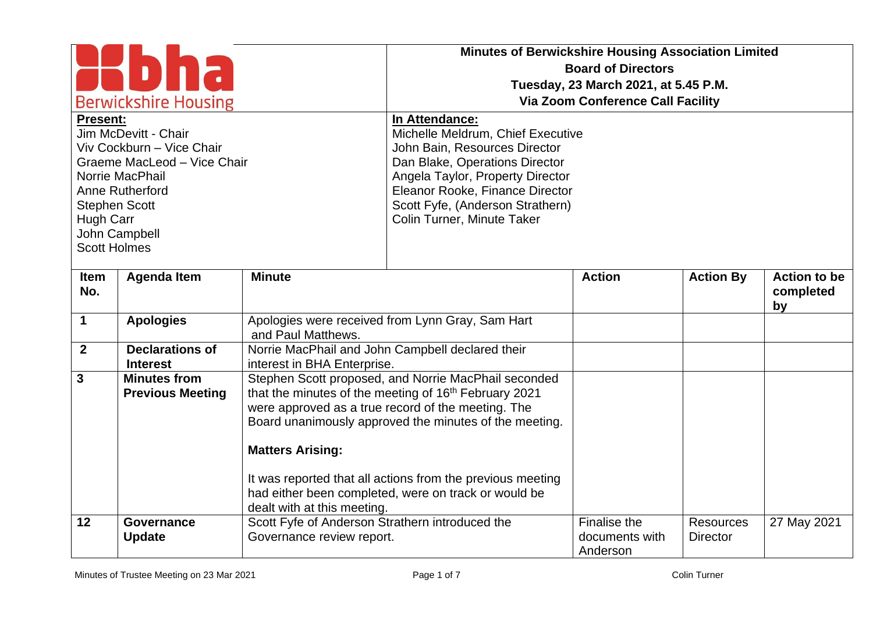| <b>Berwickshire Housing</b><br><b>Present:</b><br>Jim McDevitt - Chair<br>Viv Cockburn - Vice Chair<br>Graeme MacLeod - Vice Chair<br>Norrie MacPhail<br>Anne Rutherford<br><b>Stephen Scott</b><br>Hugh Carr<br>John Campbell<br><b>Scott Holmes</b> |                                                | <b>Minutes of Berwickshire Housing Association Limited</b><br><b>Board of Directors</b><br>Tuesday, 23 March 2021, at 5.45 P.M.<br><b>Via Zoom Conference Call Facility</b><br>In Attendance:<br>Michelle Meldrum, Chief Executive<br>John Bain, Resources Director<br>Dan Blake, Operations Director<br>Angela Taylor, Property Director<br>Eleanor Rooke, Finance Director<br>Scott Fyfe, (Anderson Strathern)<br>Colin Turner, Minute Taker |                                                                                                                                                                                                                                                                                                                                                     |                                            |                                     |                                  |
|-------------------------------------------------------------------------------------------------------------------------------------------------------------------------------------------------------------------------------------------------------|------------------------------------------------|------------------------------------------------------------------------------------------------------------------------------------------------------------------------------------------------------------------------------------------------------------------------------------------------------------------------------------------------------------------------------------------------------------------------------------------------|-----------------------------------------------------------------------------------------------------------------------------------------------------------------------------------------------------------------------------------------------------------------------------------------------------------------------------------------------------|--------------------------------------------|-------------------------------------|----------------------------------|
| <b>Item</b><br>No.                                                                                                                                                                                                                                    | <b>Agenda Item</b>                             | <b>Minute</b>                                                                                                                                                                                                                                                                                                                                                                                                                                  |                                                                                                                                                                                                                                                                                                                                                     | <b>Action</b>                              | <b>Action By</b>                    | <b>Action to be</b><br>completed |
| $\mathbf 1$                                                                                                                                                                                                                                           | <b>Apologies</b>                               | and Paul Matthews.                                                                                                                                                                                                                                                                                                                                                                                                                             | Apologies were received from Lynn Gray, Sam Hart                                                                                                                                                                                                                                                                                                    |                                            |                                     | by                               |
| $\overline{2}$                                                                                                                                                                                                                                        | <b>Declarations of</b><br><b>Interest</b>      | interest in BHA Enterprise.                                                                                                                                                                                                                                                                                                                                                                                                                    | Norrie MacPhail and John Campbell declared their                                                                                                                                                                                                                                                                                                    |                                            |                                     |                                  |
| $\mathbf{3}$                                                                                                                                                                                                                                          | <b>Minutes from</b><br><b>Previous Meeting</b> | <b>Matters Arising:</b>                                                                                                                                                                                                                                                                                                                                                                                                                        | Stephen Scott proposed, and Norrie MacPhail seconded<br>that the minutes of the meeting of 16th February 2021<br>were approved as a true record of the meeting. The<br>Board unanimously approved the minutes of the meeting.<br>It was reported that all actions from the previous meeting<br>had either been completed, were on track or would be |                                            |                                     |                                  |
| 12                                                                                                                                                                                                                                                    | Governance<br><b>Update</b>                    | dealt with at this meeting.<br>Scott Fyfe of Anderson Strathern introduced the<br>Governance review report.                                                                                                                                                                                                                                                                                                                                    |                                                                                                                                                                                                                                                                                                                                                     | Finalise the<br>documents with<br>Anderson | <b>Resources</b><br><b>Director</b> | 27 May 2021                      |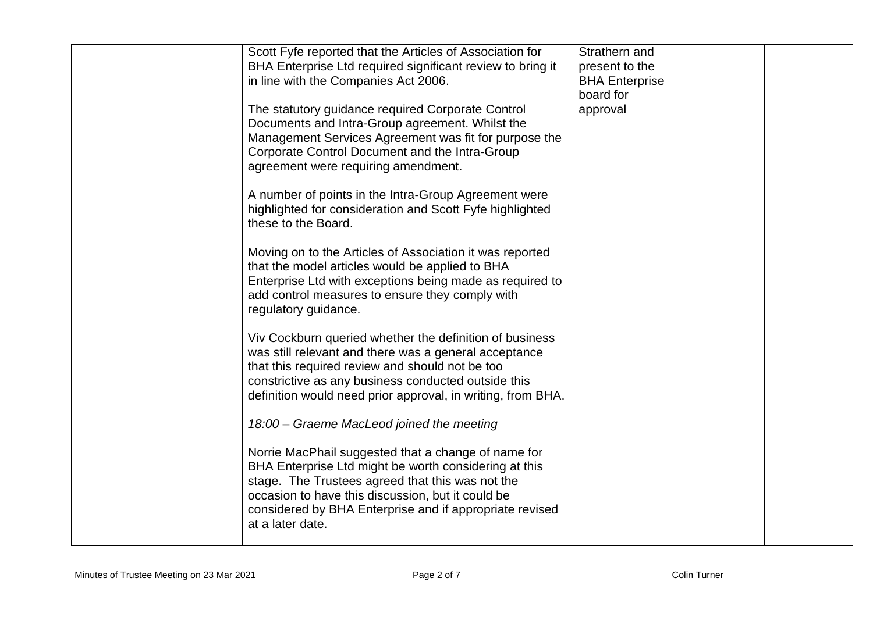|  | Scott Fyfe reported that the Articles of Association for<br>BHA Enterprise Ltd required significant review to bring it<br>in line with the Companies Act 2006.<br>The statutory guidance required Corporate Control<br>Documents and Intra-Group agreement. Whilst the                               | Strathern and<br>present to the<br><b>BHA Enterprise</b><br>board for<br>approval |  |
|--|------------------------------------------------------------------------------------------------------------------------------------------------------------------------------------------------------------------------------------------------------------------------------------------------------|-----------------------------------------------------------------------------------|--|
|  | Management Services Agreement was fit for purpose the<br>Corporate Control Document and the Intra-Group<br>agreement were requiring amendment.                                                                                                                                                       |                                                                                   |  |
|  | A number of points in the Intra-Group Agreement were<br>highlighted for consideration and Scott Fyfe highlighted<br>these to the Board.                                                                                                                                                              |                                                                                   |  |
|  | Moving on to the Articles of Association it was reported<br>that the model articles would be applied to BHA<br>Enterprise Ltd with exceptions being made as required to<br>add control measures to ensure they comply with<br>regulatory guidance.                                                   |                                                                                   |  |
|  | Viv Cockburn queried whether the definition of business<br>was still relevant and there was a general acceptance<br>that this required review and should not be too<br>constrictive as any business conducted outside this<br>definition would need prior approval, in writing, from BHA.            |                                                                                   |  |
|  | 18:00 - Graeme MacLeod joined the meeting                                                                                                                                                                                                                                                            |                                                                                   |  |
|  | Norrie MacPhail suggested that a change of name for<br>BHA Enterprise Ltd might be worth considering at this<br>stage. The Trustees agreed that this was not the<br>occasion to have this discussion, but it could be<br>considered by BHA Enterprise and if appropriate revised<br>at a later date. |                                                                                   |  |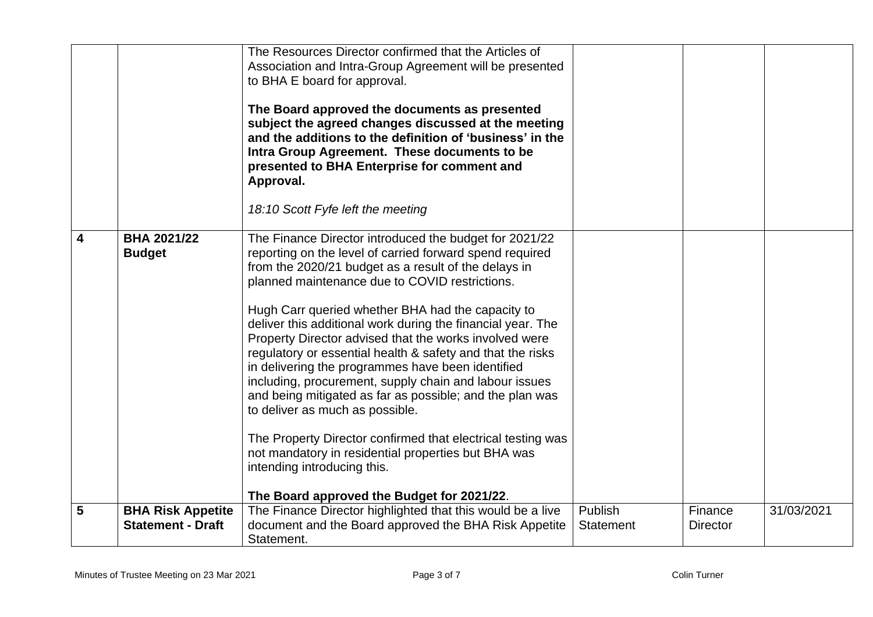|                         |                                     | The Resources Director confirmed that the Articles of<br>Association and Intra-Group Agreement will be presented<br>to BHA E board for approval.<br>The Board approved the documents as presented<br>subject the agreed changes discussed at the meeting<br>and the additions to the definition of 'business' in the<br>Intra Group Agreement. These documents to be<br>presented to BHA Enterprise for comment and<br>Approval.                                                                                                                                                                                                                                                                                                                                                                                                                                                          |                  |                 |            |
|-------------------------|-------------------------------------|-------------------------------------------------------------------------------------------------------------------------------------------------------------------------------------------------------------------------------------------------------------------------------------------------------------------------------------------------------------------------------------------------------------------------------------------------------------------------------------------------------------------------------------------------------------------------------------------------------------------------------------------------------------------------------------------------------------------------------------------------------------------------------------------------------------------------------------------------------------------------------------------|------------------|-----------------|------------|
|                         |                                     | 18:10 Scott Fyfe left the meeting                                                                                                                                                                                                                                                                                                                                                                                                                                                                                                                                                                                                                                                                                                                                                                                                                                                         |                  |                 |            |
| $\overline{\mathbf{4}}$ | <b>BHA 2021/22</b><br><b>Budget</b> | The Finance Director introduced the budget for 2021/22<br>reporting on the level of carried forward spend required<br>from the 2020/21 budget as a result of the delays in<br>planned maintenance due to COVID restrictions.<br>Hugh Carr queried whether BHA had the capacity to<br>deliver this additional work during the financial year. The<br>Property Director advised that the works involved were<br>regulatory or essential health & safety and that the risks<br>in delivering the programmes have been identified<br>including, procurement, supply chain and labour issues<br>and being mitigated as far as possible; and the plan was<br>to deliver as much as possible.<br>The Property Director confirmed that electrical testing was<br>not mandatory in residential properties but BHA was<br>intending introducing this.<br>The Board approved the Budget for 2021/22. |                  |                 |            |
| 5                       | <b>BHA Risk Appetite</b>            | The Finance Director highlighted that this would be a live                                                                                                                                                                                                                                                                                                                                                                                                                                                                                                                                                                                                                                                                                                                                                                                                                                | Publish          | Finance         | 31/03/2021 |
|                         | <b>Statement - Draft</b>            | document and the Board approved the BHA Risk Appetite<br>Statement.                                                                                                                                                                                                                                                                                                                                                                                                                                                                                                                                                                                                                                                                                                                                                                                                                       | <b>Statement</b> | <b>Director</b> |            |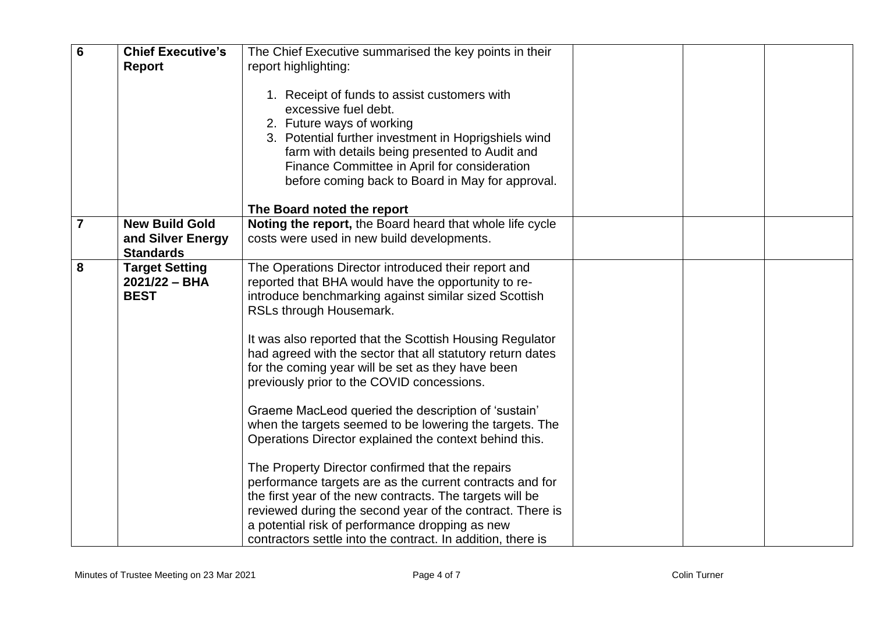| $6\phantom{1}6$ | <b>Chief Executive's</b>                   | The Chief Executive summarised the key points in their                                                                                                                                                                                                                                                          |  |  |
|-----------------|--------------------------------------------|-----------------------------------------------------------------------------------------------------------------------------------------------------------------------------------------------------------------------------------------------------------------------------------------------------------------|--|--|
|                 | <b>Report</b>                              | report highlighting:                                                                                                                                                                                                                                                                                            |  |  |
|                 |                                            | 1. Receipt of funds to assist customers with<br>excessive fuel debt.<br>2. Future ways of working<br>3. Potential further investment in Hoprigshiels wind<br>farm with details being presented to Audit and<br>Finance Committee in April for consideration<br>before coming back to Board in May for approval. |  |  |
|                 |                                            | The Board noted the report                                                                                                                                                                                                                                                                                      |  |  |
| $\overline{7}$  | <b>New Build Gold</b><br>and Silver Energy | Noting the report, the Board heard that whole life cycle<br>costs were used in new build developments.                                                                                                                                                                                                          |  |  |
|                 | <b>Standards</b>                           |                                                                                                                                                                                                                                                                                                                 |  |  |
| 8               | <b>Target Setting</b><br>$2021/22 - BHA$   | The Operations Director introduced their report and<br>reported that BHA would have the opportunity to re-                                                                                                                                                                                                      |  |  |
|                 | <b>BEST</b>                                | introduce benchmarking against similar sized Scottish                                                                                                                                                                                                                                                           |  |  |
|                 |                                            | RSLs through Housemark.                                                                                                                                                                                                                                                                                         |  |  |
|                 |                                            | It was also reported that the Scottish Housing Regulator<br>had agreed with the sector that all statutory return dates<br>for the coming year will be set as they have been<br>previously prior to the COVID concessions.                                                                                       |  |  |
|                 |                                            | Graeme MacLeod queried the description of 'sustain'                                                                                                                                                                                                                                                             |  |  |
|                 |                                            | when the targets seemed to be lowering the targets. The                                                                                                                                                                                                                                                         |  |  |
|                 |                                            | Operations Director explained the context behind this.                                                                                                                                                                                                                                                          |  |  |
|                 |                                            | The Property Director confirmed that the repairs                                                                                                                                                                                                                                                                |  |  |
|                 |                                            | performance targets are as the current contracts and for                                                                                                                                                                                                                                                        |  |  |
|                 |                                            | the first year of the new contracts. The targets will be                                                                                                                                                                                                                                                        |  |  |
|                 |                                            | reviewed during the second year of the contract. There is                                                                                                                                                                                                                                                       |  |  |
|                 |                                            | a potential risk of performance dropping as new                                                                                                                                                                                                                                                                 |  |  |
|                 |                                            | contractors settle into the contract. In addition, there is                                                                                                                                                                                                                                                     |  |  |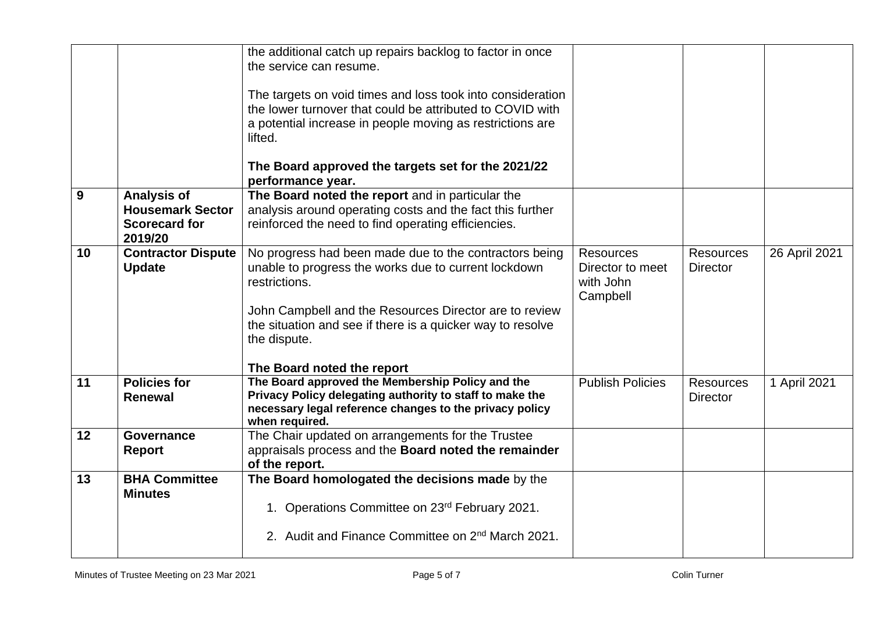|    |                                                            | the additional catch up repairs backlog to factor in once<br>the service can resume.<br>The targets on void times and loss took into consideration<br>the lower turnover that could be attributed to COVID with<br>a potential increase in people moving as restrictions are<br>lifted.<br>The Board approved the targets set for the 2021/22 |                                                               |                                     |               |
|----|------------------------------------------------------------|-----------------------------------------------------------------------------------------------------------------------------------------------------------------------------------------------------------------------------------------------------------------------------------------------------------------------------------------------|---------------------------------------------------------------|-------------------------------------|---------------|
| 9  | <b>Analysis of</b>                                         | performance year.<br>The Board noted the report and in particular the                                                                                                                                                                                                                                                                         |                                                               |                                     |               |
|    | <b>Housemark Sector</b><br><b>Scorecard for</b><br>2019/20 | analysis around operating costs and the fact this further<br>reinforced the need to find operating efficiencies.                                                                                                                                                                                                                              |                                                               |                                     |               |
| 10 | <b>Contractor Dispute</b><br><b>Update</b>                 | No progress had been made due to the contractors being<br>unable to progress the works due to current lockdown<br>restrictions.<br>John Campbell and the Resources Director are to review<br>the situation and see if there is a quicker way to resolve<br>the dispute.<br>The Board noted the report                                         | <b>Resources</b><br>Director to meet<br>with John<br>Campbell | <b>Resources</b><br><b>Director</b> | 26 April 2021 |
| 11 | <b>Policies for</b><br><b>Renewal</b>                      | The Board approved the Membership Policy and the<br>Privacy Policy delegating authority to staff to make the<br>necessary legal reference changes to the privacy policy<br>when required.                                                                                                                                                     | <b>Publish Policies</b>                                       | <b>Resources</b><br><b>Director</b> | 1 April 2021  |
| 12 | Governance<br><b>Report</b>                                | The Chair updated on arrangements for the Trustee<br>appraisals process and the Board noted the remainder<br>of the report.                                                                                                                                                                                                                   |                                                               |                                     |               |
| 13 | <b>BHA Committee</b><br><b>Minutes</b>                     | The Board homologated the decisions made by the<br>1. Operations Committee on 23rd February 2021.<br>2. Audit and Finance Committee on 2 <sup>nd</sup> March 2021.                                                                                                                                                                            |                                                               |                                     |               |